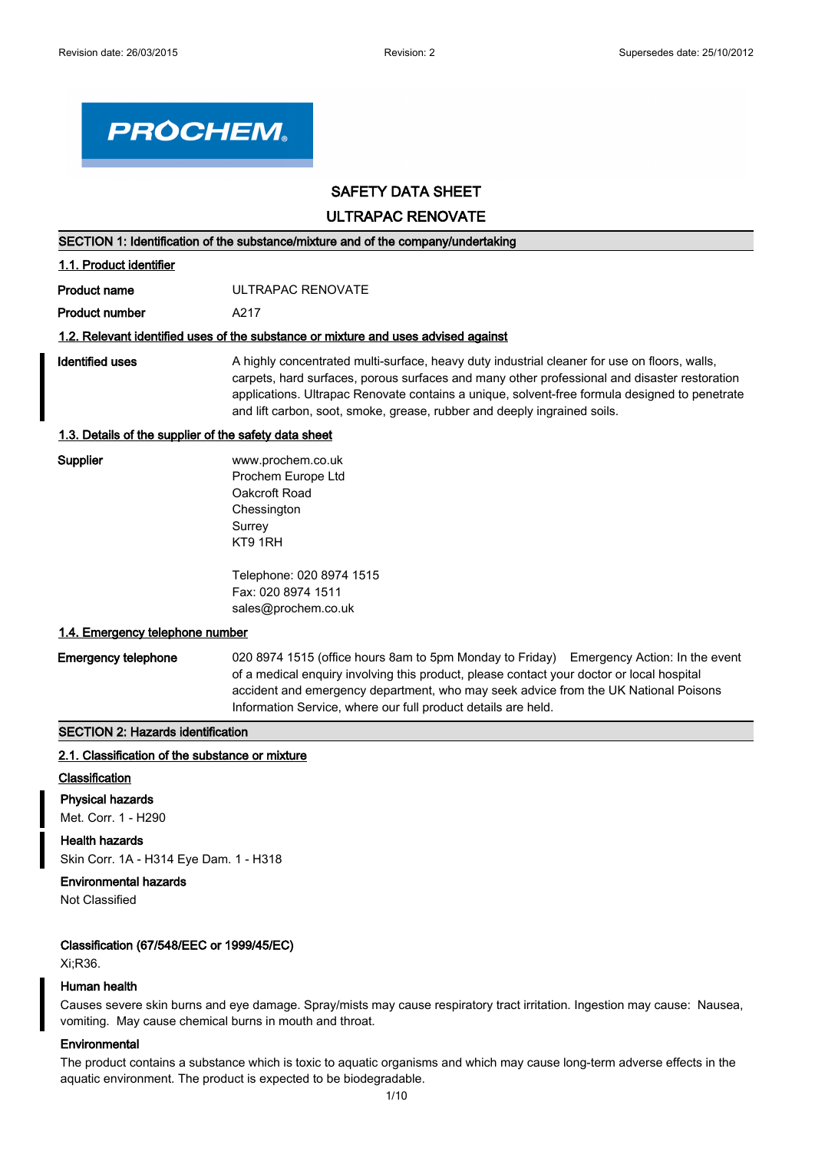

# **SAFETY DATA SHEET**

**ULTRAPAC RENOVATE**

|                                                       | SECTION 1: Identification of the substance/mixture and of the company/undertaking                                                                                                                                                                                                                                                                                         |  |  |
|-------------------------------------------------------|---------------------------------------------------------------------------------------------------------------------------------------------------------------------------------------------------------------------------------------------------------------------------------------------------------------------------------------------------------------------------|--|--|
| 1.1. Product identifier                               |                                                                                                                                                                                                                                                                                                                                                                           |  |  |
| <b>Product name</b>                                   | ULTRAPAC RENOVATE                                                                                                                                                                                                                                                                                                                                                         |  |  |
| <b>Product number</b>                                 | A217                                                                                                                                                                                                                                                                                                                                                                      |  |  |
|                                                       | 1.2. Relevant identified uses of the substance or mixture and uses advised against                                                                                                                                                                                                                                                                                        |  |  |
| Identified uses                                       | A highly concentrated multi-surface, heavy duty industrial cleaner for use on floors, walls,<br>carpets, hard surfaces, porous surfaces and many other professional and disaster restoration<br>applications. Ultrapac Renovate contains a unique, solvent-free formula designed to penetrate<br>and lift carbon, soot, smoke, grease, rubber and deeply ingrained soils. |  |  |
| 1.3. Details of the supplier of the safety data sheet |                                                                                                                                                                                                                                                                                                                                                                           |  |  |
| Supplier                                              | www.prochem.co.uk<br>Prochem Europe Ltd<br>Oakcroft Road<br>Chessington<br>Surrey<br>KT9 1RH                                                                                                                                                                                                                                                                              |  |  |
|                                                       | Telephone: 020 8974 1515<br>Fax: 020 8974 1511<br>sales@prochem.co.uk                                                                                                                                                                                                                                                                                                     |  |  |

#### **1.4. Emergency telephone number**

**Emergency telephone** 020 8974 1515 (office hours 8am to 5pm Monday to Friday) Emergency Action: In the event of a medical enquiry involving this product, please contact your doctor or local hospital accident and emergency department, who may seek advice from the UK National Poisons Information Service, where our full product details are held.

#### **SECTION 2: Hazards identification**

#### **2.1. Classification of the substance or mixture**

#### **Classification**

**Physical hazards**

Met. Corr. 1 - H290

#### **Health hazards**

Skin Corr. 1A - H314 Eye Dam. 1 - H318

## **Environmental hazards**

Not Classified

#### **Classification (67/548/EEC or 1999/45/EC)**

Xi;R36.

#### **Human health**

Causes severe skin burns and eye damage. Spray/mists may cause respiratory tract irritation. Ingestion may cause: Nausea, vomiting. May cause chemical burns in mouth and throat.

# **Environmental**

The product contains a substance which is toxic to aquatic organisms and which may cause long-term adverse effects in the aquatic environment. The product is expected to be biodegradable.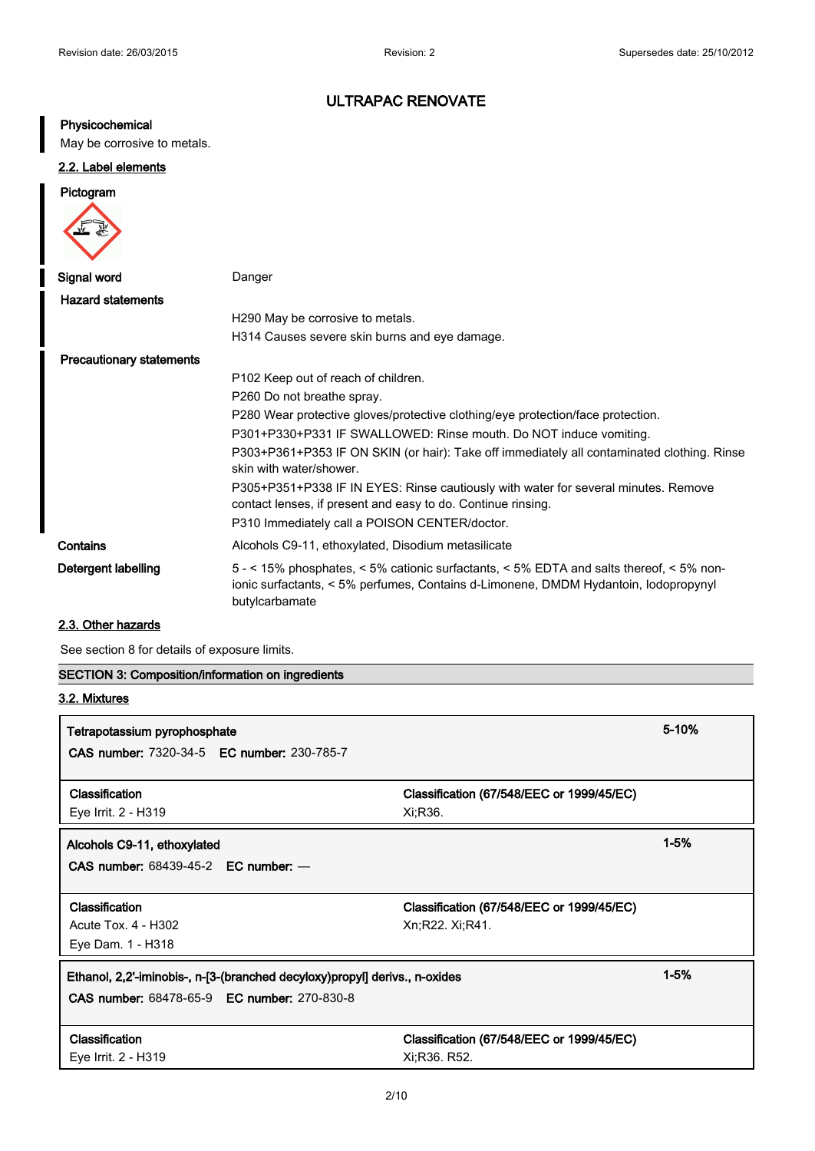# **Physicochemical**

May be corrosive to metals.

# **2.2. Label elements**

# **Pictogram**



| Signal word                     | Danger                                                                                                                                                                                           |
|---------------------------------|--------------------------------------------------------------------------------------------------------------------------------------------------------------------------------------------------|
| <b>Hazard statements</b>        |                                                                                                                                                                                                  |
|                                 | H290 May be corrosive to metals.                                                                                                                                                                 |
|                                 | H314 Causes severe skin burns and eye damage.                                                                                                                                                    |
| <b>Precautionary statements</b> |                                                                                                                                                                                                  |
|                                 | P <sub>102</sub> Keep out of reach of children.                                                                                                                                                  |
|                                 | P260 Do not breathe spray.                                                                                                                                                                       |
|                                 | P280 Wear protective gloves/protective clothing/eye protection/face protection.                                                                                                                  |
|                                 | P301+P330+P331 IF SWALLOWED: Rinse mouth. Do NOT induce vomiting.                                                                                                                                |
|                                 | P303+P361+P353 IF ON SKIN (or hair): Take off immediately all contaminated clothing. Rinse<br>skin with water/shower.                                                                            |
|                                 | P305+P351+P338 IF IN EYES: Rinse cautiously with water for several minutes. Remove<br>contact lenses, if present and easy to do. Continue rinsing.                                               |
|                                 | P310 Immediately call a POISON CENTER/doctor.                                                                                                                                                    |
| Contains                        | Alcohols C9-11, ethoxylated, Disodium metasilicate                                                                                                                                               |
| Detergent labelling             | 5 - < 15% phosphates, < 5% cationic surfactants, < 5% EDTA and salts thereof, < 5% non-<br>ionic surfactants, < 5% perfumes, Contains d-Limonene, DMDM Hydantoin, Iodopropynyl<br>butylcarbamate |

# **2.3. Other hazards**

See section 8 for details of exposure limits.

| <b>SECTION 3: Composition/information on ingredients</b>                               |                                           |       |  |
|----------------------------------------------------------------------------------------|-------------------------------------------|-------|--|
| 3.2. Mixtures                                                                          |                                           |       |  |
| Tetrapotassium pyrophosphate                                                           |                                           | 5-10% |  |
| <b>CAS number: 7320-34-5 EC number: 230-785-7</b>                                      |                                           |       |  |
| Classification                                                                         | Classification (67/548/EEC or 1999/45/EC) |       |  |
| Eye Irrit. 2 - H319                                                                    | Xi;R36.                                   |       |  |
| Alcohols C9-11, ethoxylated                                                            | $1 - 5%$                                  |       |  |
| <b>CAS number: 68439-45-2 EC number: -</b>                                             |                                           |       |  |
| Classification                                                                         | Classification (67/548/EEC or 1999/45/EC) |       |  |
| Acute Tox. 4 - H302                                                                    | Xn;R22. Xi;R41.                           |       |  |
| Eye Dam. 1 - H318                                                                      |                                           |       |  |
| $1 - 5%$<br>Ethanol, 2,2'-iminobis-, n-[3-(branched decyloxy)propyl] derivs., n-oxides |                                           |       |  |
| <b>CAS number: 68478-65-9 EC number: 270-830-8</b>                                     |                                           |       |  |
|                                                                                        |                                           |       |  |
| Classification                                                                         | Classification (67/548/EEC or 1999/45/EC) |       |  |
| Eye Irrit. 2 - H319                                                                    | Xi;R36. R52.                              |       |  |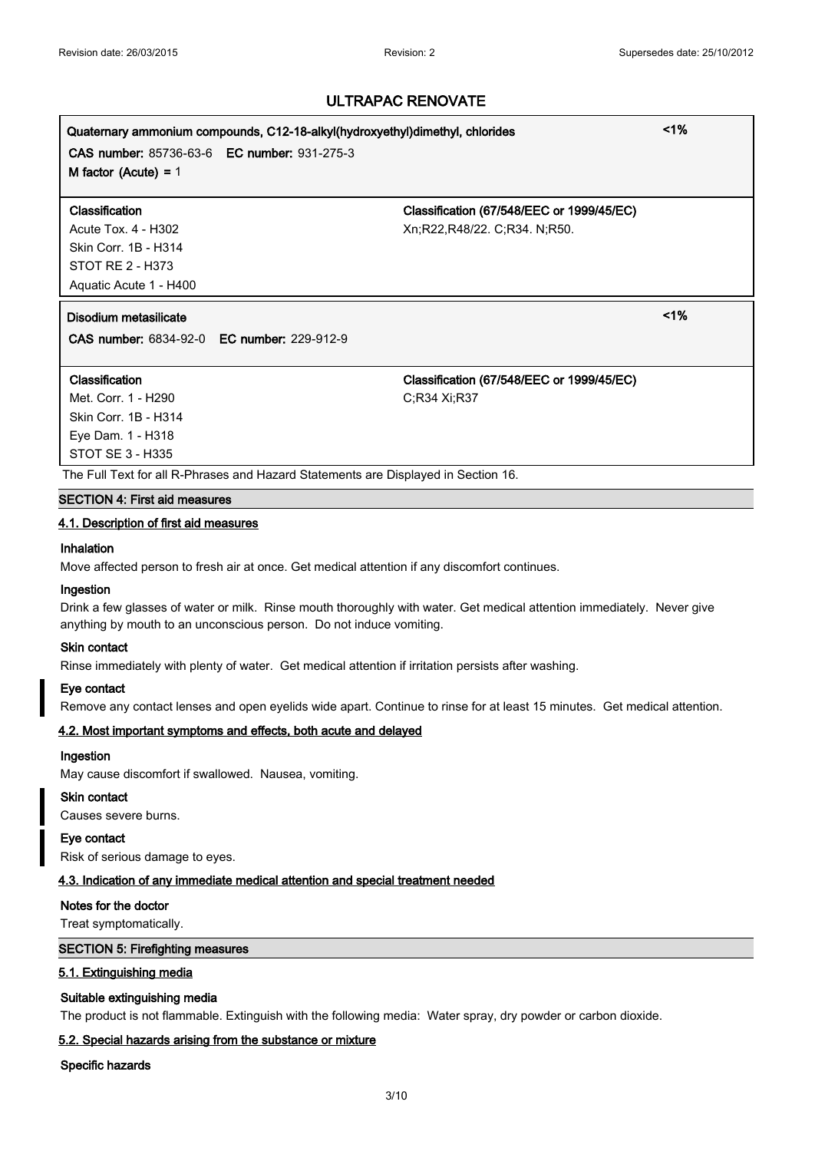# **Quaternary ammonium compounds, C12-18-alkyl(hydroxyethyl)dimethyl, chlorides <1% CAS number:** 85736-63-6 **EC number:** 931-275-3 **M factor (Acute) =** 1 **Classification Classification (67/548/EEC or 1999/45/EC)** Acute Tox. 4 - H302 Xn;R22,R48/22. C;R34. N;R50. Skin Corr. 1B - H314 STOT RE 2 - H373 Aquatic Acute 1 - H400

**Disodium metasilicate <1%**

**CAS number:** 6834-92-0 **EC number:** 229-912-9

Met. Corr. 1 - H290 C;R34 Xi;R37 Skin Corr. 1B - H314 Eye Dam. 1 - H318 STOT SE 3 - H335

**Classification Classification (67/548/EEC or 1999/45/EC)**

The Full Text for all R-Phrases and Hazard Statements are Displayed in Section 16.

#### **SECTION 4: First aid measures**

### **4.1. Description of first aid measures**

#### **Inhalation**

Move affected person to fresh air at once. Get medical attention if any discomfort continues.

#### **Ingestion**

Drink a few glasses of water or milk. Rinse mouth thoroughly with water. Get medical attention immediately. Never give anything by mouth to an unconscious person. Do not induce vomiting.

#### **Skin contact**

Rinse immediately with plenty of water. Get medical attention if irritation persists after washing.

#### **Eye contact**

Remove any contact lenses and open eyelids wide apart. Continue to rinse for at least 15 minutes. Get medical attention.

#### **4.2. Most important symptoms and effects, both acute and delayed**

#### **Ingestion**

May cause discomfort if swallowed. Nausea, vomiting.

#### **Skin contact**

Causes severe burns.

#### **Eye contact**

Risk of serious damage to eyes.

#### **4.3. Indication of any immediate medical attention and special treatment needed**

#### **Notes for the doctor**

Treat symptomatically.

#### **SECTION 5: Firefighting measures**

#### **5.1. Extinguishing media**

#### **Suitable extinguishing media**

The product is not flammable. Extinguish with the following media: Water spray, dry powder or carbon dioxide.

#### **5.2. Special hazards arising from the substance or mixture**

#### **Specific hazards**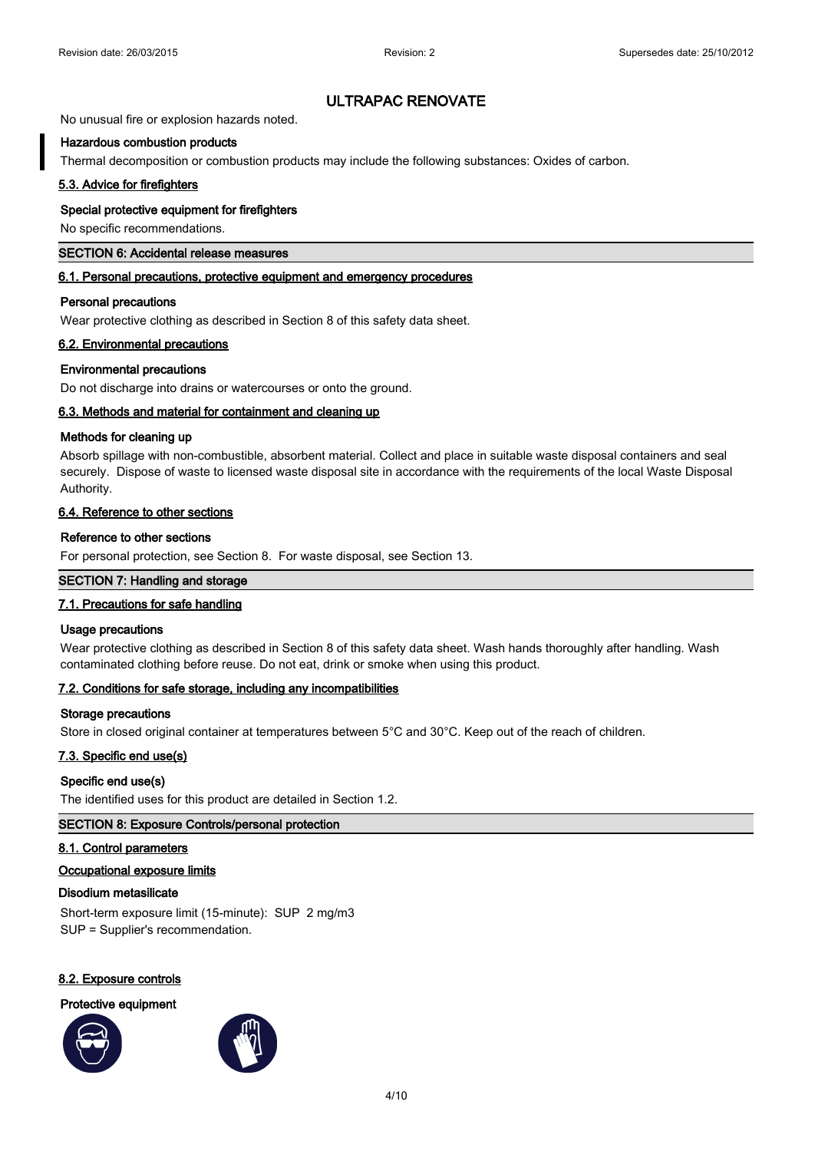No unusual fire or explosion hazards noted.

#### **Hazardous combustion products**

Thermal decomposition or combustion products may include the following substances: Oxides of carbon.

#### **5.3. Advice for firefighters**

#### **Special protective equipment for firefighters**

No specific recommendations.

#### **SECTION 6: Accidental release measures**

#### **6.1. Personal precautions, protective equipment and emergency procedures**

#### **Personal precautions**

Wear protective clothing as described in Section 8 of this safety data sheet.

#### **6.2. Environmental precautions**

#### **Environmental precautions**

Do not discharge into drains or watercourses or onto the ground.

#### **6.3. Methods and material for containment and cleaning up**

#### **Methods for cleaning up**

Absorb spillage with non-combustible, absorbent material. Collect and place in suitable waste disposal containers and seal securely. Dispose of waste to licensed waste disposal site in accordance with the requirements of the local Waste Disposal Authority.

#### **6.4. Reference to other sections**

#### **Reference to other sections**

For personal protection, see Section 8. For waste disposal, see Section 13.

#### **SECTION 7: Handling and storage**

#### **7.1. Precautions for safe handling**

#### **Usage precautions**

Wear protective clothing as described in Section 8 of this safety data sheet. Wash hands thoroughly after handling. Wash contaminated clothing before reuse. Do not eat, drink or smoke when using this product.

#### **7.2. Conditions for safe storage, including any incompatibilities**

#### **Storage precautions**

Store in closed original container at temperatures between 5°C and 30°C. Keep out of the reach of children.

#### **7.3. Specific end use(s)**

#### **Specific end use(s)**

The identified uses for this product are detailed in Section 1.2.

#### **SECTION 8: Exposure Controls/personal protection**

#### **8.1. Control parameters**

#### **Occupational exposure limits**

#### **Disodium metasilicate**

Short-term exposure limit (15-minute): SUP 2 mg/m3 SUP = Supplier's recommendation.

#### **8.2. Exposure controls**

#### **Protective equipment**



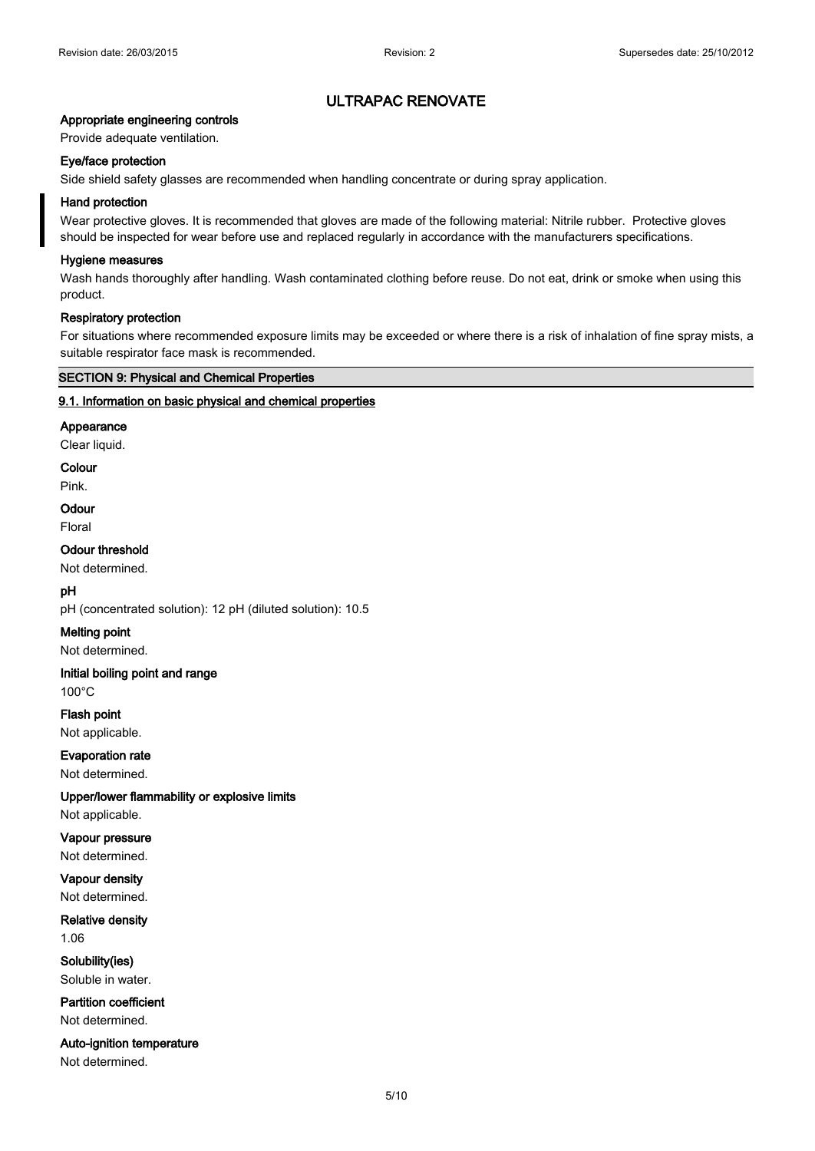### **Appropriate engineering controls**

Provide adequate ventilation.

#### **Eye/face protection**

Side shield safety glasses are recommended when handling concentrate or during spray application.

#### **Hand protection**

Wear protective gloves. It is recommended that gloves are made of the following material: Nitrile rubber. Protective gloves should be inspected for wear before use and replaced regularly in accordance with the manufacturers specifications.

#### **Hygiene measures**

Wash hands thoroughly after handling. Wash contaminated clothing before reuse. Do not eat, drink or smoke when using this product.

#### **Respiratory protection**

For situations where recommended exposure limits may be exceeded or where there is a risk of inhalation of fine spray mists, a suitable respirator face mask is recommended.

#### **SECTION 9: Physical and Chemical Properties**

#### **9.1. Information on basic physical and chemical properties**

#### **Appearance**

Clear liquid.

**Colour**

Pink.

# **Odour**

Floral

#### **Odour threshold**

Not determined.

#### **pH**

pH (concentrated solution): 12 pH (diluted solution): 10.5

#### **Melting point**

Not determined.

# **Initial boiling point and range**

100°C

# **Flash point** Not applicable.

**Evaporation rate**

Not determined.

#### **Upper/lower flammability or explosive limits**

Not applicable.

# **Vapour pressure**

Not determined.

# **Vapour density**

Not determined.

## **Relative density**

1.06

#### **Solubility(ies)** Soluble in water.

**Partition coefficient**

Not determined.

# **Auto-ignition temperature**

Not determined.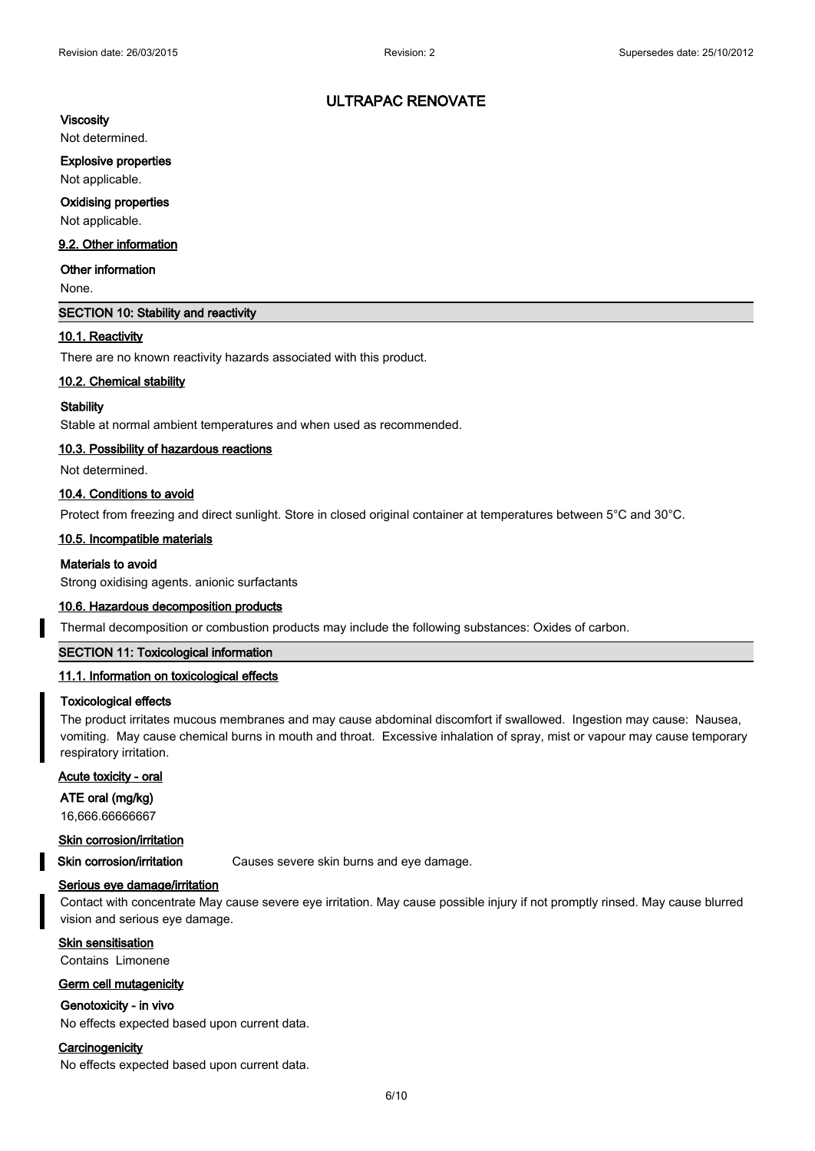# **Viscosity**

Not determined.

#### **Explosive properties**

Not applicable.

#### **Oxidising properties**

Not applicable.

# **9.2. Other information**

#### **Other information**

None.

## **SECTION 10: Stability and reactivity**

#### **10.1. Reactivity**

There are no known reactivity hazards associated with this product.

#### **10.2. Chemical stability**

#### **Stability**

Stable at normal ambient temperatures and when used as recommended.

#### **10.3. Possibility of hazardous reactions**

Not determined.

#### **10.4. Conditions to avoid**

Protect from freezing and direct sunlight. Store in closed original container at temperatures between 5°C and 30°C.

#### **10.5. Incompatible materials**

#### **Materials to avoid**

Strong oxidising agents. anionic surfactants

#### **10.6. Hazardous decomposition products**

Thermal decomposition or combustion products may include the following substances: Oxides of carbon.

#### **SECTION 11: Toxicological information**

#### **11.1. Information on toxicological effects**

#### **Toxicological effects**

The product irritates mucous membranes and may cause abdominal discomfort if swallowed. Ingestion may cause: Nausea, vomiting. May cause chemical burns in mouth and throat. Excessive inhalation of spray, mist or vapour may cause temporary respiratory irritation.

# **Acute toxicity - oral**

**ATE oral (mg/kg)**

16,666.66666667

#### **Skin corrosion/irritation**

**Skin corrosion/irritation** Causes severe skin burns and eye damage.

#### **Serious eye damage/irritation**

Contact with concentrate May cause severe eye irritation. May cause possible injury if not promptly rinsed. May cause blurred vision and serious eye damage.

#### **Skin sensitisation**

Contains Limonene

#### **Germ cell mutagenicity**

#### **Genotoxicity - in vivo**

No effects expected based upon current data.

# **Carcinogenicity**

No effects expected based upon current data.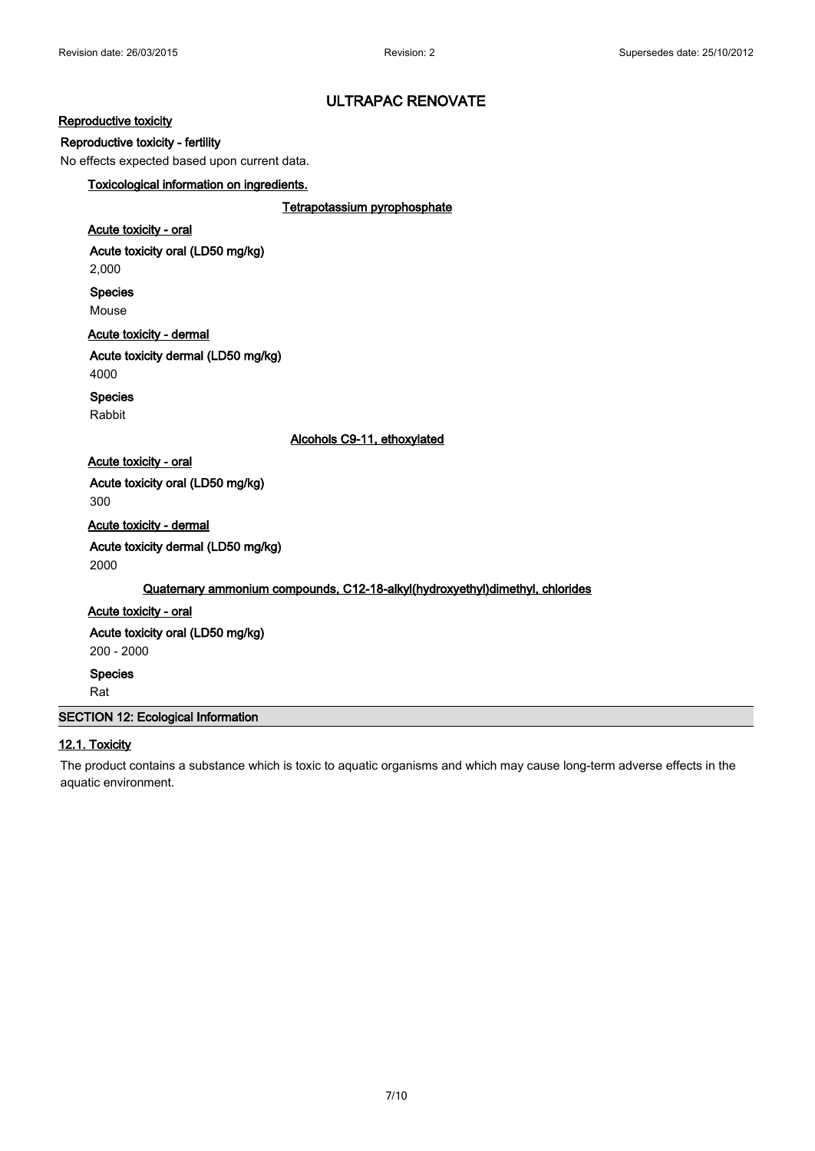#### **Reproductive toxicity**

#### **Reproductive toxicity - fertility**

No effects expected based upon current data.

# **Toxicological information on ingredients.**

**Tetrapotassium pyrophosphate**

# **Acute toxicity - oral**

**Acute toxicity oral (LD50 mg/kg)** 2,000

**Species** Mouse

# **Acute toxicity - dermal**

**Acute toxicity dermal (LD50 mg/kg)** 4000

# **Species**

Rabbit

#### **Alcohols C9-11, ethoxylated**

**Acute toxicity - oral Acute toxicity oral (LD50 mg/kg)** 300

**Acute toxicity - dermal Acute toxicity dermal (LD50 mg/kg)**

2000

#### **Quaternary ammonium compounds, C12-18-alkyl(hydroxyethyl)dimethyl, chlorides**

# **Acute toxicity - oral**

**Acute toxicity oral (LD50 mg/kg)**

200 - 2000

**Species**

Rat

# **SECTION 12: Ecological Information**

# **12.1. Toxicity**

The product contains a substance which is toxic to aquatic organisms and which may cause long-term adverse effects in the aquatic environment.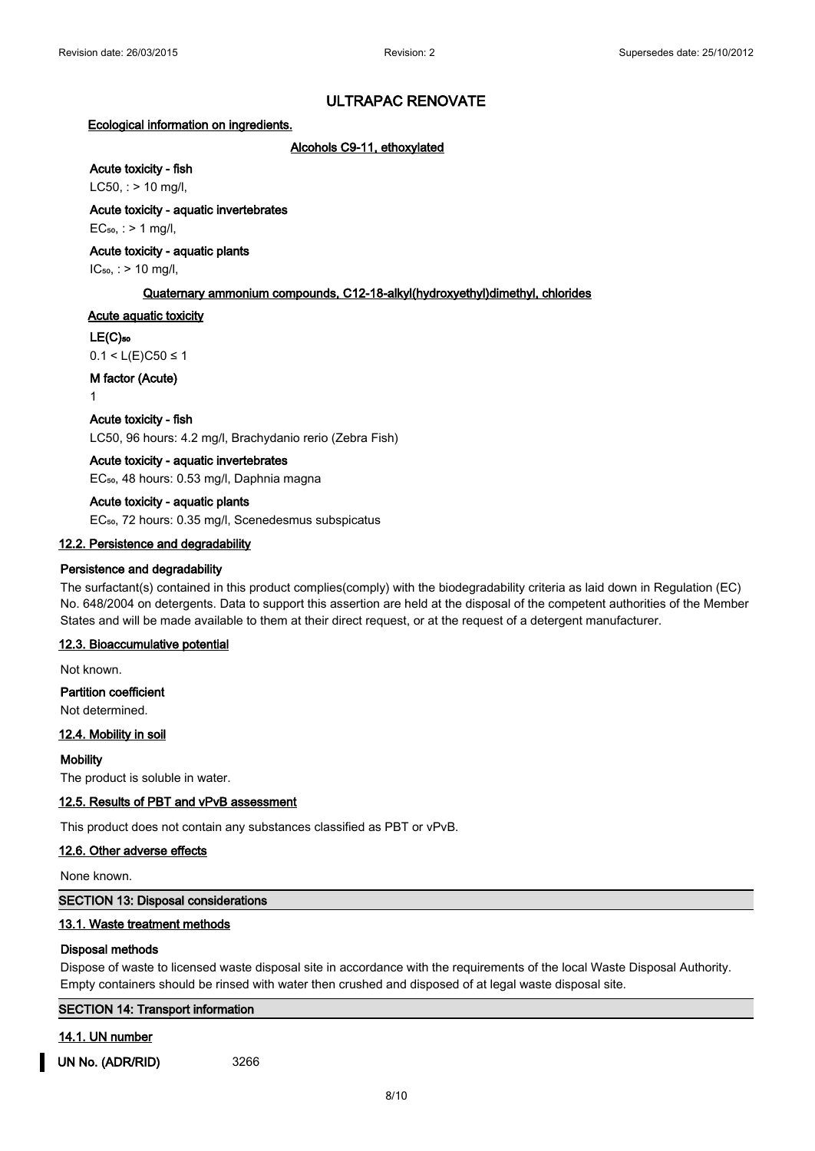#### **Ecological information on ingredients.**

**Alcohols C9-11, ethoxylated**

# **Acute toxicity - fish**

 $LC50$ , : > 10 mg/l,

**Acute toxicity - aquatic invertebrates**

 $EC<sub>50</sub>,$  : > 1 mg/l,

#### **Acute toxicity - aquatic plants**

 $IC_{50}$ , : > 10 mg/l,

#### **Quaternary ammonium compounds, C12-18-alkyl(hydroxyethyl)dimethyl, chlorides**

## **Acute aquatic toxicity**

#### **LE(C)₅₀**

 $0.1 < L(E)$ C50 ≤ 1

**M factor (Acute)**

1

#### **Acute toxicity - fish**

LC50, 96 hours: 4.2 mg/l, Brachydanio rerio (Zebra Fish)

#### **Acute toxicity - aquatic invertebrates**

EC<sub>50</sub>, 48 hours: 0.53 mg/l, Daphnia magna

#### **Acute toxicity - aquatic plants**

EC<sub>50</sub>, 72 hours: 0.35 mg/l, Scenedesmus subspicatus

#### **12.2. Persistence and degradability**

#### **Persistence and degradability**

The surfactant(s) contained in this product complies(comply) with the biodegradability criteria as laid down in Regulation (EC) No. 648/2004 on detergents. Data to support this assertion are held at the disposal of the competent authorities of the Member States and will be made available to them at their direct request, or at the request of a detergent manufacturer.

#### **12.3. Bioaccumulative potential**

Not known.

#### **Partition coefficient**

Not determined.

#### **12.4. Mobility in soil**

**Mobility**

The product is soluble in water.

#### **12.5. Results of PBT and vPvB assessment**

This product does not contain any substances classified as PBT or vPvB.

#### **12.6. Other adverse effects**

None known.

#### **SECTION 13: Disposal considerations**

#### **13.1. Waste treatment methods**

#### **Disposal methods**

Dispose of waste to licensed waste disposal site in accordance with the requirements of the local Waste Disposal Authority. Empty containers should be rinsed with water then crushed and disposed of at legal waste disposal site.

|   | <b>SECTION 14: Transport information</b> |  |  |
|---|------------------------------------------|--|--|
| . |                                          |  |  |

#### **14.1. UN number**

**UN No. (ADR/RID)** 3266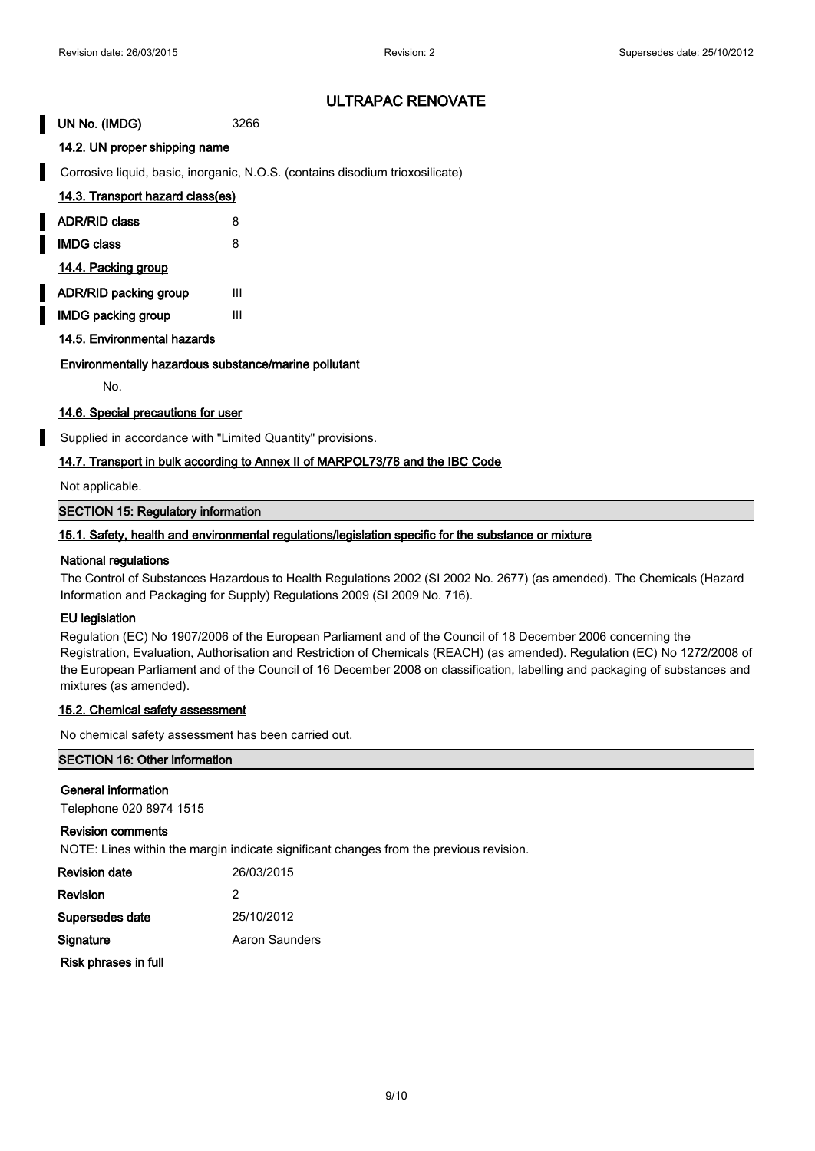**UN No. (IMDG)** 3266

# **14.2. UN proper shipping name**

Corrosive liquid, basic, inorganic, N.O.S. (contains disodium trioxosilicate)

| 14.3. Transport hazard class(es) |  |  |
|----------------------------------|--|--|
|                                  |  |  |

| <b>ADR/RID class</b> |  |
|----------------------|--|
|                      |  |

**IMDG class** 8

**14.4. Packing group**

**ADR/RID packing group III** 

**IMDG packing group III** 

**14.5. Environmental hazards**

# **Environmentally hazardous substance/marine pollutant**

No.

# **14.6. Special precautions for user**

Supplied in accordance with "Limited Quantity" provisions.

# **14.7. Transport in bulk according to Annex II of MARPOL73/78 and the IBC Code**

Not applicable.

**SECTION 15: Regulatory information**

#### **15.1. Safety, health and environmental regulations/legislation specific for the substance or mixture**

#### **National regulations**

The Control of Substances Hazardous to Health Regulations 2002 (SI 2002 No. 2677) (as amended). The Chemicals (Hazard Information and Packaging for Supply) Regulations 2009 (SI 2009 No. 716).

#### **EU legislation**

Regulation (EC) No 1907/2006 of the European Parliament and of the Council of 18 December 2006 concerning the Registration, Evaluation, Authorisation and Restriction of Chemicals (REACH) (as amended). Regulation (EC) No 1272/2008 of the European Parliament and of the Council of 16 December 2008 on classification, labelling and packaging of substances and mixtures (as amended).

#### **15.2. Chemical safety assessment**

No chemical safety assessment has been carried out.

#### **SECTION 16: Other information**

#### **General information**

Telephone 020 8974 1515

#### **Revision comments**

NOTE: Lines within the margin indicate significant changes from the previous revision.

| <b>Revision date</b> | 26/03/2015     |
|----------------------|----------------|
| Revision             | 2              |
| Supersedes date      | 25/10/2012     |
| Signature            | Aaron Saunders |
| Risk phrases in full |                |